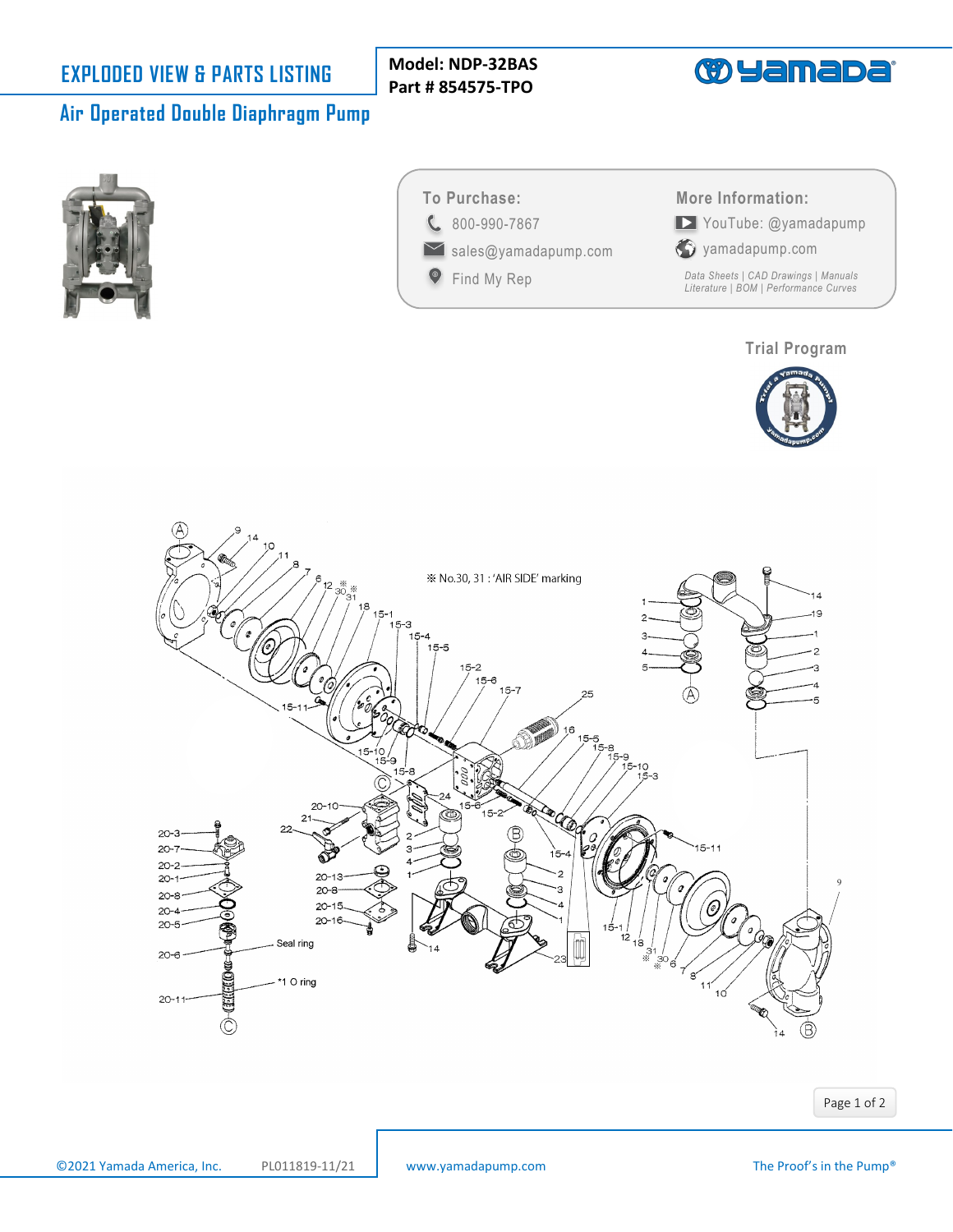**Model: NDP-32BAS Part # 854575-TPO**



# **Air Operated Double Diaphragm Pump**





**P** [Find My Rep](https://www.yamadapump.com/find-my-rep/)

C [800-990-7867](tel:8009907867) [sales@yamadapump.com](mailto:sales@yamadapump.com) [YouTube: @yamadapump](https://youtube.com/yamadapump.com) **More Information:**



*[Data Sheets | CAD Drawings | Manuals](https://www.yamadapump.com/ndp-32-series/)  Literature | BOM | Performance Curves*

### **[Trial Program](https://www.yamadapump.com/trial-pump-program/)**





Page 1 of 2